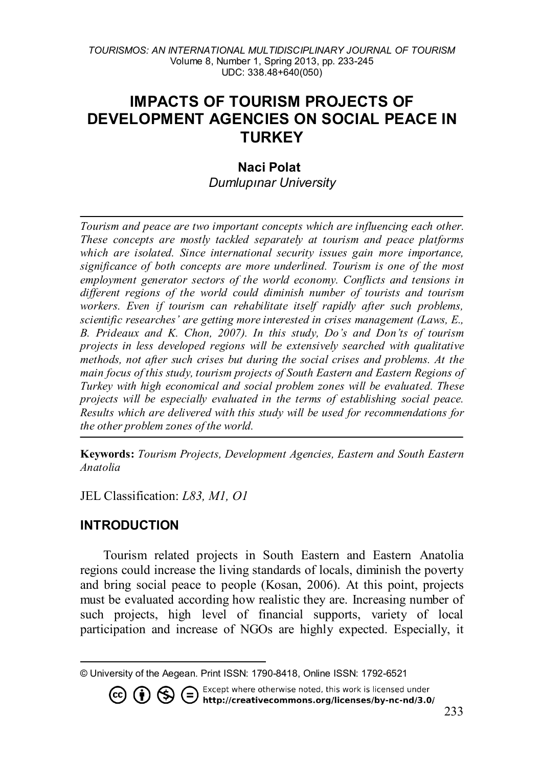# **IMPACTS OF TOURISM PROJECTS OF DEVELOPMENT AGENCIES ON SOCIAL PEACE IN TURKEY**

#### **Naci Polat**

*Dumlupınar University*

*Tourism and peace are two important concepts which are influencing each other. These concepts are mostly tackled separately at tourism and peace platforms which are isolated. Since international security issues gain more importance, significance of both concepts are more underlined. Tourism is one of the most employment generator sectors of the world economy. Conflicts and tensions in different regions of the world could diminish number of tourists and tourism workers. Even if tourism can rehabilitate itself rapidly after such problems, scientific researches' are getting more interested in crises management (Laws, E., B. Prideaux and K. Chon, 2007). In this study, Do's and Don'ts of tourism projects in less developed regions will be extensively searched with qualitative methods, not after such crises but during the social crises and problems. At the main focus of this study, tourism projects of South Eastern and Eastern Regions of Turkey with high economical and social problem zones will be evaluated. These projects will be especially evaluated in the terms of establishing social peace. Results which are delivered with this study will be used for recommendations for the other problem zones of the world.* 

**Keywords:** *Tourism Projects, Development Agencies, Eastern and South Eastern Anatolia*

JEL Classification: *L83, M1, O1*

### **INTRODUCTION**

Tourism related projects in South Eastern and Eastern Anatolia regions could increase the living standards of locals, diminish the poverty and bring social peace to people (Kosan, 2006). At this point, projects must be evaluated according how realistic they are. Increasing number of such projects, high level of financial supports, variety of local participation and increase of NGOs are highly expected. Especially, it

Except where otherwise noted, this work is licensed under

http://creativecommons.org/licenses/by-nc-nd/3.0/

<span id="page-0-0"></span> $\overline{a}$ © University of the Aegean. Print ISSN: 1790-8418, Online ISSN: 1792-6521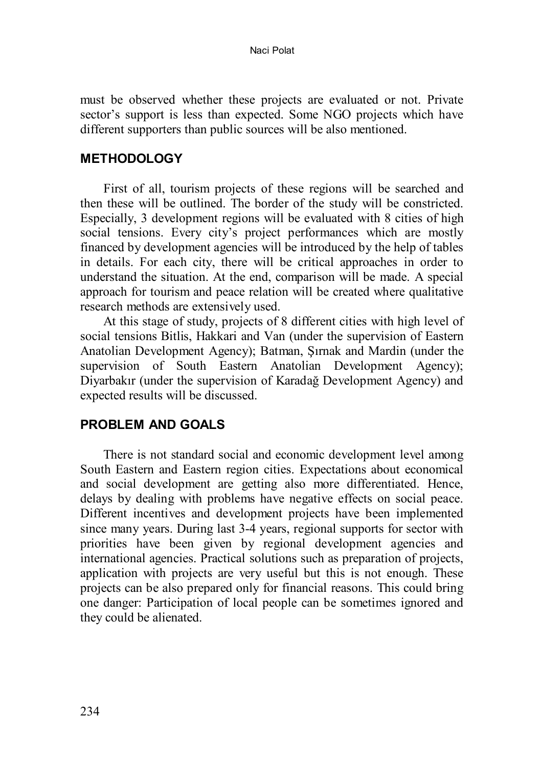must be observed whether these projects are evaluated or not. Private sector's support is less than expected. Some NGO projects which have different supporters than public sources will be also mentioned.

#### **METHODOLOGY**

First of all, tourism projects of these regions will be searched and then these will be outlined. The border of the study will be constricted. Especially, 3 development regions will be evaluated with 8 cities of high social tensions. Every city's project performances which are mostly financed by development agencies will be introduced by the help of tables in details. For each city, there will be critical approaches in order to understand the situation. At the end, comparison will be made. A special approach for tourism and peace relation will be created where qualitative research methods are extensively used.

At this stage of study, projects of 8 different cities with high level of social tensions Bitlis, Hakkari and Van (under the supervision of Eastern Anatolian Development Agency); Batman, Şırnak and Mardin (under the supervision of South Eastern Anatolian Development Agency); Diyarbakır (under the supervision of Karadağ Development Agency) and expected results will be discussed.

#### **PROBLEM AND GOALS**

There is not standard social and economic development level among South Eastern and Eastern region cities. Expectations about economical and social development are getting also more differentiated. Hence, delays by dealing with problems have negative effects on social peace. Different incentives and development projects have been implemented since many years. During last 3-4 years, regional supports for sector with priorities have been given by regional development agencies and international agencies. Practical solutions such as preparation of projects, application with projects are very useful but this is not enough. These projects can be also prepared only for financial reasons. This could bring one danger: Participation of local people can be sometimes ignored and they could be alienated.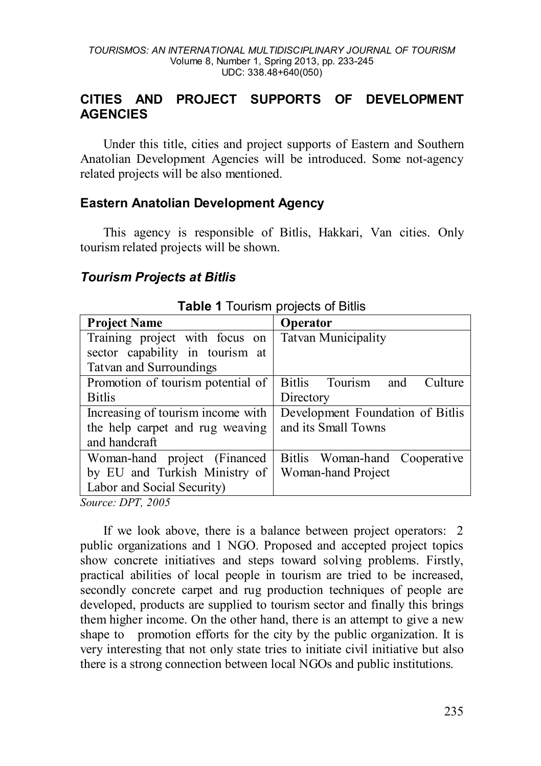### **CITIES AND PROJECT SUPPORTS OF DEVELOPMENT AGENCIES**

Under this title, cities and project supports of Eastern and Southern Anatolian Development Agencies will be introduced. Some not-agency related projects will be also mentioned.

### **Eastern Anatolian Development Agency**

This agency is responsible of Bitlis, Hakkari, Van cities. Only tourism related projects will be shown.

#### *Tourism Projects at Bitlis*

| <b>Project Name</b>               | Operator                         |  |  |  |  |
|-----------------------------------|----------------------------------|--|--|--|--|
| Training project with focus on    | <b>Tatvan Municipality</b>       |  |  |  |  |
| sector capability in tourism at   |                                  |  |  |  |  |
| Tatvan and Surroundings           |                                  |  |  |  |  |
| Promotion of tourism potential of | Bitlis Tourism<br>Culture<br>and |  |  |  |  |
| <b>Bitlis</b>                     | Directory                        |  |  |  |  |
| Increasing of tourism income with | Development Foundation of Bitlis |  |  |  |  |
| the help carpet and rug weaving   | and its Small Towns              |  |  |  |  |
| and handcraft                     |                                  |  |  |  |  |
| Woman-hand project (Financed      | Bitlis Woman-hand Cooperative    |  |  |  |  |
| by EU and Turkish Ministry of     | Woman-hand Project               |  |  |  |  |
| Labor and Social Security)        |                                  |  |  |  |  |

**Table 1** Tourism projects of Bitlis

*Source: DPT, 2005*

If we look above, there is a balance between project operators: 2 public organizations and 1 NGO. Proposed and accepted project topics show concrete initiatives and steps toward solving problems. Firstly, practical abilities of local people in tourism are tried to be increased, secondly concrete carpet and rug production techniques of people are developed, products are supplied to tourism sector and finally this brings them higher income. On the other hand, there is an attempt to give a new shape to promotion efforts for the city by the public organization. It is very interesting that not only state tries to initiate civil initiative but also there is a strong connection between local NGOs and public institutions.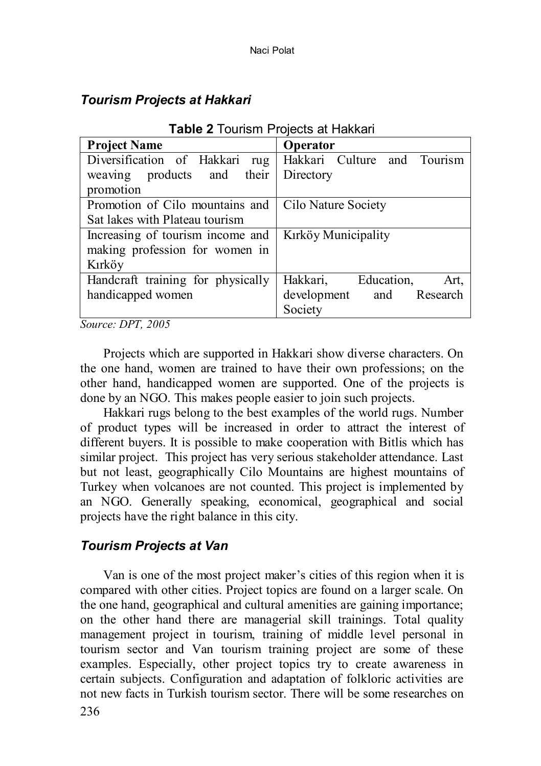**Table 2** Tourism Projects at Hakkari

| <b>I ADIC 4</b> TOUTISHT LIOCCLS ALL TANNATI |                                |  |  |  |  |  |  |
|----------------------------------------------|--------------------------------|--|--|--|--|--|--|
| <b>Project Name</b>                          | Operator                       |  |  |  |  |  |  |
| Diversification of Hakkari<br>rug            | Hakkari Culture and Tourism    |  |  |  |  |  |  |
| weaving products and their                   | Directory                      |  |  |  |  |  |  |
| promotion                                    |                                |  |  |  |  |  |  |
| Promotion of Cilo mountains and              | Cilo Nature Society            |  |  |  |  |  |  |
| Sat lakes with Plateau tourism               |                                |  |  |  |  |  |  |
| Increasing of tourism income and             | Kirköy Municipality            |  |  |  |  |  |  |
| making profession for women in               |                                |  |  |  |  |  |  |
| Kırköv                                       |                                |  |  |  |  |  |  |
| Handcraft training for physically            | Hakkari, Education,<br>Art.    |  |  |  |  |  |  |
| handicapped women                            | development<br>and<br>Research |  |  |  |  |  |  |
|                                              | Society                        |  |  |  |  |  |  |

## *Tourism Projects at Hakkari*

*Source: DPT, 2005*

Projects which are supported in Hakkari show diverse characters. On the one hand, women are trained to have their own professions; on the other hand, handicapped women are supported. One of the projects is done by an NGO. This makes people easier to join such projects.

Hakkari rugs belong to the best examples of the world rugs. Number of product types will be increased in order to attract the interest of different buyers. It is possible to make cooperation with Bitlis which has similar project. This project has very serious stakeholder attendance. Last but not least, geographically Cilo Mountains are highest mountains of Turkey when volcanoes are not counted. This project is implemented by an NGO. Generally speaking, economical, geographical and social projects have the right balance in this city.

## *Tourism Projects at Van*

Van is one of the most project maker's cities of this region when it is compared with other cities. Project topics are found on a larger scale. On the one hand, geographical and cultural amenities are gaining importance; on the other hand there are managerial skill trainings. Total quality management project in tourism, training of middle level personal in tourism sector and Van tourism training project are some of these examples. Especially, other project topics try to create awareness in certain subjects. Configuration and adaptation of folkloric activities are not new facts in Turkish tourism sector. There will be some researches on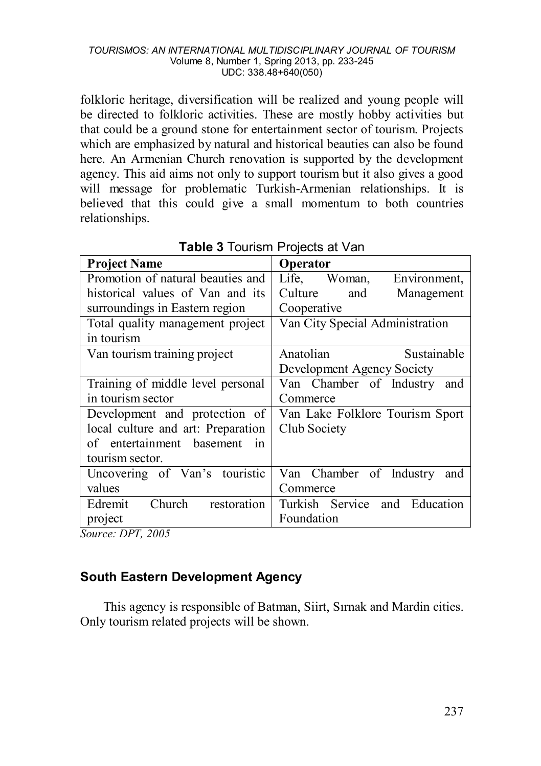folkloric heritage, diversification will be realized and young people will be directed to folkloric activities. These are mostly hobby activities but that could be a ground stone for entertainment sector of tourism. Projects which are emphasized by natural and historical beauties can also be found here. An Armenian Church renovation is supported by the development agency. This aid aims not only to support tourism but it also gives a good will message for problematic Turkish-Armenian relationships. It is believed that this could give a small momentum to both countries relationships.

| <b>Project Name</b>                         | Operator                        |  |  |  |  |
|---------------------------------------------|---------------------------------|--|--|--|--|
| Promotion of natural beauties and           | Life, Woman,<br>Environment.    |  |  |  |  |
| historical values of Van and its            | Culture<br>and<br>Management    |  |  |  |  |
| surroundings in Eastern region              | Cooperative                     |  |  |  |  |
| Total quality management project            | Van City Special Administration |  |  |  |  |
| in tourism                                  |                                 |  |  |  |  |
| Van tourism training project                | Anatolian<br>Sustainable        |  |  |  |  |
|                                             | Development Agency Society      |  |  |  |  |
| Training of middle level personal           | Van Chamber of Industry<br>and  |  |  |  |  |
| in tourism sector                           | Commerce                        |  |  |  |  |
| Development and protection of               | Van Lake Folklore Tourism Sport |  |  |  |  |
| local culture and art: Preparation          | Club Society                    |  |  |  |  |
| of entertainment basement<br>$\overline{m}$ |                                 |  |  |  |  |
| tourism sector.                             |                                 |  |  |  |  |
| Uncovering of Van's touristic               | Van Chamber of Industry<br>and  |  |  |  |  |
| values                                      | Commerce                        |  |  |  |  |
| Church<br>restoration<br>Edremit            | Turkish Service and Education   |  |  |  |  |
| project                                     | Foundation                      |  |  |  |  |

**Table 3** Tourism Projects at Van

*Source: DPT, 2005*

## **South Eastern Development Agency**

This agency is responsible of Batman, Siirt, Sırnak and Mardin cities. Only tourism related projects will be shown.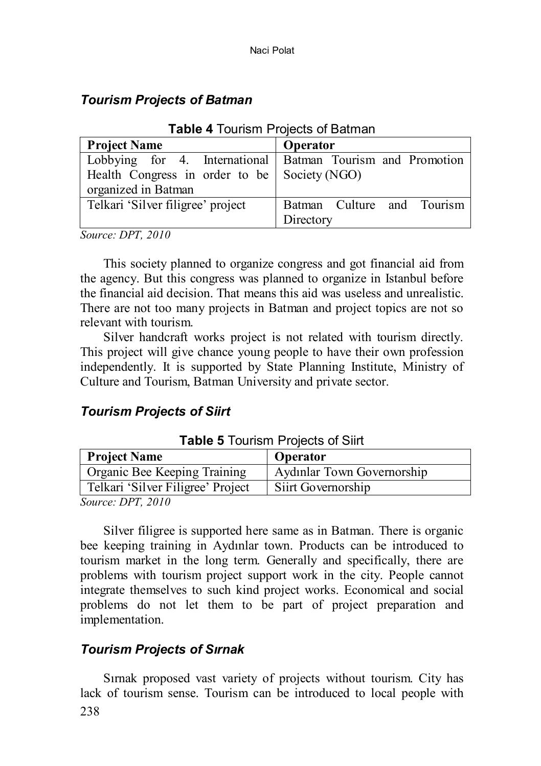## *Tourism Projects of Batman*

| <b>Project Name</b>                                        | Operator                   |  |  |  |  |  |
|------------------------------------------------------------|----------------------------|--|--|--|--|--|
| Lobbying for 4. International Batman Tourism and Promotion |                            |  |  |  |  |  |
| Health Congress in order to be Society (NGO)               |                            |  |  |  |  |  |
| organized in Batman                                        |                            |  |  |  |  |  |
| Telkari 'Silver filigree' project                          | Batman Culture and Tourism |  |  |  |  |  |
|                                                            | Directory                  |  |  |  |  |  |

**Table 4** Tourism Projects of Batman

*Source: DPT, 2010*

This society planned to organize congress and got financial aid from the agency. But this congress was planned to organize in Istanbul before the financial aid decision. That means this aid was useless and unrealistic. There are not too many projects in Batman and project topics are not so relevant with tourism.

Silver handcraft works project is not related with tourism directly. This project will give chance young people to have their own profession independently. It is supported by State Planning Institute, Ministry of Culture and Tourism, Batman University and private sector.

## *Tourism Projects of Siirt*

| <b>Project Name</b>               | <b>Operator</b>            |
|-----------------------------------|----------------------------|
| Organic Bee Keeping Training      | Aydınlar Town Governorship |
| Telkari 'Silver Filigree' Project | Siirt Governorship         |
| $S_{OMHCO}$ DPT $2010$            |                            |

*Source: DPT, 2010*

Silver filigree is supported here same as in Batman. There is organic bee keeping training in Aydınlar town. Products can be introduced to tourism market in the long term. Generally and specifically, there are problems with tourism project support work in the city. People cannot integrate themselves to such kind project works. Economical and social problems do not let them to be part of project preparation and implementation.

## *Tourism Projects of Sırnak*

238 Sırnak proposed vast variety of projects without tourism. City has lack of tourism sense. Tourism can be introduced to local people with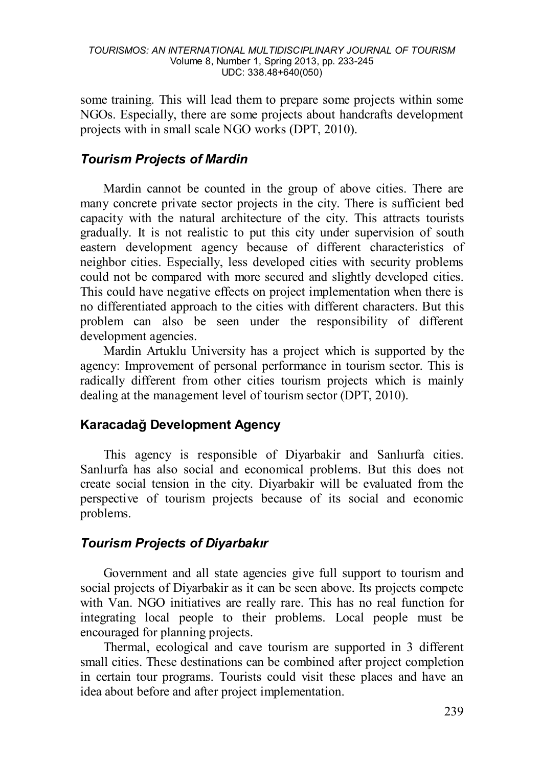some training. This will lead them to prepare some projects within some NGOs. Especially, there are some projects about handcrafts development projects with in small scale NGO works (DPT, 2010).

## *Tourism Projects of Mardin*

Mardin cannot be counted in the group of above cities. There are many concrete private sector projects in the city. There is sufficient bed capacity with the natural architecture of the city. This attracts tourists gradually. It is not realistic to put this city under supervision of south eastern development agency because of different characteristics of neighbor cities. Especially, less developed cities with security problems could not be compared with more secured and slightly developed cities. This could have negative effects on project implementation when there is no differentiated approach to the cities with different characters. But this problem can also be seen under the responsibility of different development agencies.

Mardin Artuklu University has a project which is supported by the agency: Improvement of personal performance in tourism sector. This is radically different from other cities tourism projects which is mainly dealing at the management level of tourism sector (DPT, 2010).

### **Karacadağ Development Agency**

This agency is responsible of Diyarbakir and Sanlıurfa cities. Sanlıurfa has also social and economical problems. But this does not create social tension in the city. Diyarbakir will be evaluated from the perspective of tourism projects because of its social and economic problems.

## *Tourism Projects of Diyarbakır*

Government and all state agencies give full support to tourism and social projects of Diyarbakir as it can be seen above. Its projects compete with Van. NGO initiatives are really rare. This has no real function for integrating local people to their problems. Local people must be encouraged for planning projects.

Thermal, ecological and cave tourism are supported in 3 different small cities. These destinations can be combined after project completion in certain tour programs. Tourists could visit these places and have an idea about before and after project implementation.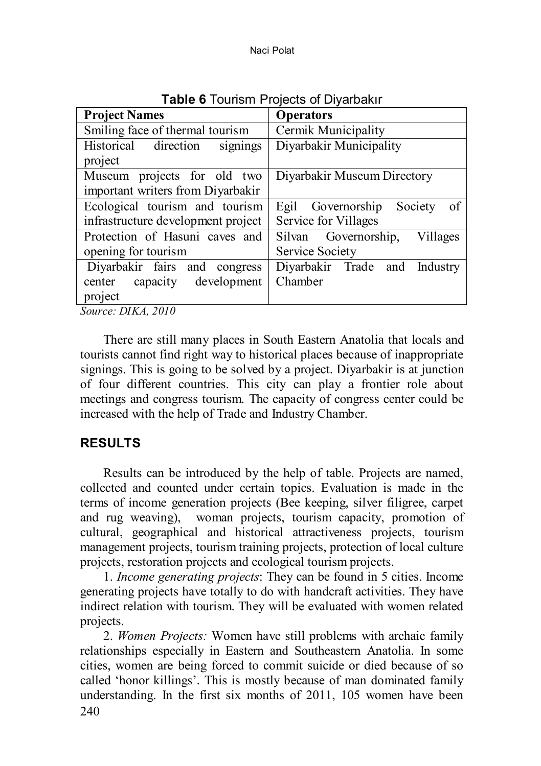| <b>Project Names</b>               | <b>Operators</b>                 |  |  |  |  |
|------------------------------------|----------------------------------|--|--|--|--|
| Smiling face of thermal tourism    | Cermik Municipality              |  |  |  |  |
| Historical direction<br>signings   | Diyarbakir Municipality          |  |  |  |  |
| project                            |                                  |  |  |  |  |
| Museum projects for old two        | Diyarbakir Museum Directory      |  |  |  |  |
| important writers from Diyarbakir  |                                  |  |  |  |  |
| Ecological tourism and tourism     | Egil Governorship Society<br>of  |  |  |  |  |
| infrastructure development project | Service for Villages             |  |  |  |  |
| Protection of Hasuni caves and     | Silvan Governorship,<br>Villages |  |  |  |  |
| opening for tourism                | Service Society                  |  |  |  |  |
| Diyarbakir fairs and congress      | Divarbakir Trade and Industry    |  |  |  |  |
| center capacity development        | Chamber                          |  |  |  |  |
| project                            |                                  |  |  |  |  |
| <b><i><u>PATTLE ACTO</u></i></b>   |                                  |  |  |  |  |

**Table 6** Tourism Projects of Diyarbakır

*Source: DIKA, 2010*

There are still many places in South Eastern Anatolia that locals and tourists cannot find right way to historical places because of inappropriate signings. This is going to be solved by a project. Diyarbakir is at junction of four different countries. This city can play a frontier role about meetings and congress tourism. The capacity of congress center could be increased with the help of Trade and Industry Chamber.

## **RESULTS**

Results can be introduced by the help of table. Projects are named, collected and counted under certain topics. Evaluation is made in the terms of income generation projects (Bee keeping, silver filigree, carpet and rug weaving), woman projects, tourism capacity, promotion of cultural, geographical and historical attractiveness projects, tourism management projects, tourism training projects, protection of local culture projects, restoration projects and ecological tourism projects.

1. *Income generating projects*: They can be found in 5 cities. Income generating projects have totally to do with handcraft activities. They have indirect relation with tourism. They will be evaluated with women related projects.

240 2. *Women Projects:* Women have still problems with archaic family relationships especially in Eastern and Southeastern Anatolia. In some cities, women are being forced to commit suicide or died because of so called 'honor killings'. This is mostly because of man dominated family understanding. In the first six months of 2011, 105 women have been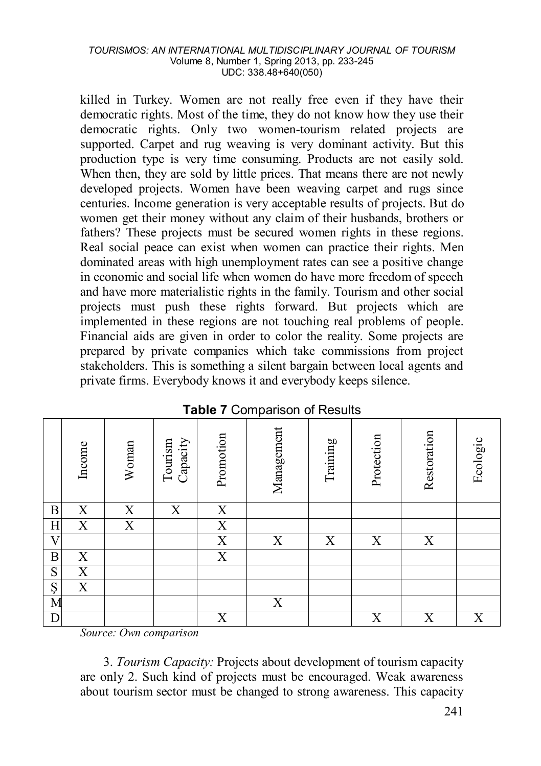killed in Turkey. Women are not really free even if they have their democratic rights. Most of the time, they do not know how they use their democratic rights. Only two women-tourism related projects are supported. Carpet and rug weaving is very dominant activity. But this production type is very time consuming. Products are not easily sold. When then, they are sold by little prices. That means there are not newly developed projects. Women have been weaving carpet and rugs since centuries. Income generation is very acceptable results of projects. But do women get their money without any claim of their husbands, brothers or fathers? These projects must be secured women rights in these regions. Real social peace can exist when women can practice their rights. Men dominated areas with high unemployment rates can see a positive change in economic and social life when women do have more freedom of speech and have more materialistic rights in the family. Tourism and other social projects must push these rights forward. But projects which are implemented in these regions are not touching real problems of people. Financial aids are given in order to color the reality. Some projects are prepared by private companies which take commissions from project stakeholders. This is something a silent bargain between local agents and private firms. Everybody knows it and everybody keeps silence.

|                    | Income      | Woman          | Capacity<br>Tourism | Promotion             | Management | Training | Protection | Restoration | Ecologic |
|--------------------|-------------|----------------|---------------------|-----------------------|------------|----------|------------|-------------|----------|
| B                  | X           | X              | X                   | X                     |            |          |            |             |          |
| $\mathbf H$        | X           | $\overline{X}$ |                     | $\overline{\text{X}}$ |            |          |            |             |          |
| $\overline{\rm V}$ |             |                |                     | $\overline{X}$        | Х          | X        | Χ          | X           |          |
| $\boldsymbol{B}$   | $\mathbf X$ |                |                     | $\mathbf X$           |            |          |            |             |          |
| ${\bf S}$          | X           |                |                     |                       |            |          |            |             |          |
| Ş                  | X           |                |                     |                       |            |          |            |             |          |
| M                  |             |                |                     |                       | Х          |          |            |             |          |
| $\mathbf D$        |             |                |                     | X                     |            |          | Χ          | X           | Χ        |

#### **Table 7** Comparison of Results

*Source: Own comparison*

3. *Tourism Capacity:* Projects about development of tourism capacity are only 2. Such kind of projects must be encouraged. Weak awareness about tourism sector must be changed to strong awareness. This capacity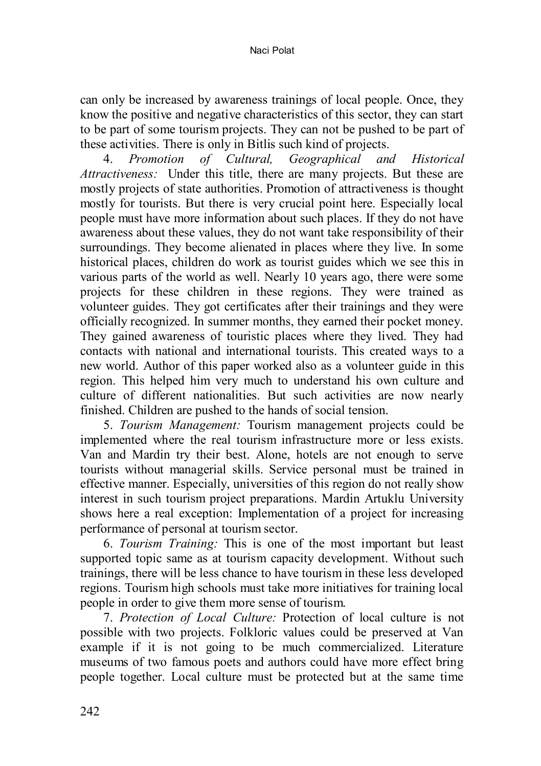can only be increased by awareness trainings of local people. Once, they know the positive and negative characteristics of this sector, they can start to be part of some tourism projects. They can not be pushed to be part of these activities. There is only in Bitlis such kind of projects.<br>4. Promotion of Cultural, Geographical and

4. *Promotion of Cultural, Geographical and Historical Attractiveness:* Under this title, there are many projects. But these are mostly projects of state authorities. Promotion of attractiveness is thought mostly for tourists. But there is very crucial point here. Especially local people must have more information about such places. If they do not have awareness about these values, they do not want take responsibility of their surroundings. They become alienated in places where they live. In some historical places, children do work as tourist guides which we see this in various parts of the world as well. Nearly 10 years ago, there were some projects for these children in these regions. They were trained as volunteer guides. They got certificates after their trainings and they were officially recognized. In summer months, they earned their pocket money. They gained awareness of touristic places where they lived. They had contacts with national and international tourists. This created ways to a new world. Author of this paper worked also as a volunteer guide in this region. This helped him very much to understand his own culture and culture of different nationalities. But such activities are now nearly finished. Children are pushed to the hands of social tension.

5. *Tourism Management:* Tourism management projects could be implemented where the real tourism infrastructure more or less exists. Van and Mardin try their best. Alone, hotels are not enough to serve tourists without managerial skills. Service personal must be trained in effective manner. Especially, universities of this region do not really show interest in such tourism project preparations. Mardin Artuklu University shows here a real exception: Implementation of a project for increasing performance of personal at tourism sector.

6. *Tourism Training:* This is one of the most important but least supported topic same as at tourism capacity development. Without such trainings, there will be less chance to have tourism in these less developed regions. Tourism high schools must take more initiatives for training local people in order to give them more sense of tourism.

7. *Protection of Local Culture:* Protection of local culture is not possible with two projects. Folkloric values could be preserved at Van example if it is not going to be much commercialized. Literature museums of two famous poets and authors could have more effect bring people together. Local culture must be protected but at the same time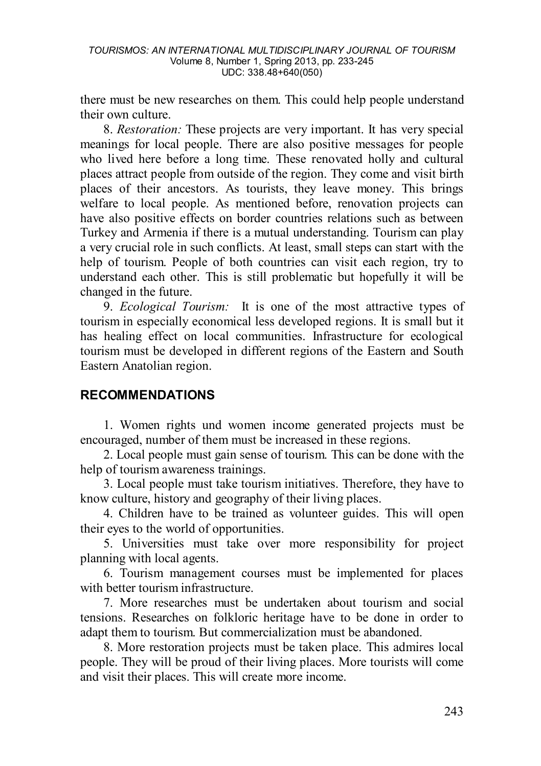there must be new researches on them. This could help people understand their own culture.

8. *Restoration:* These projects are very important. It has very special meanings for local people. There are also positive messages for people who lived here before a long time. These renovated holly and cultural places attract people from outside of the region. They come and visit birth places of their ancestors. As tourists, they leave money. This brings welfare to local people. As mentioned before, renovation projects can have also positive effects on border countries relations such as between Turkey and Armenia if there is a mutual understanding. Tourism can play a very crucial role in such conflicts. At least, small steps can start with the help of tourism. People of both countries can visit each region, try to understand each other. This is still problematic but hopefully it will be changed in the future.

9. *Ecological Tourism:* It is one of the most attractive types of tourism in especially economical less developed regions. It is small but it has healing effect on local communities. Infrastructure for ecological tourism must be developed in different regions of the Eastern and South Eastern Anatolian region.

## **RECOMMENDATIONS**

1. Women rights und women income generated projects must be encouraged, number of them must be increased in these regions.

2. Local people must gain sense of tourism. This can be done with the help of tourism awareness trainings.

3. Local people must take tourism initiatives. Therefore, they have to know culture, history and geography of their living places.

4. Children have to be trained as volunteer guides. This will open their eyes to the world of opportunities.

5. Universities must take over more responsibility for project planning with local agents.

6. Tourism management courses must be implemented for places with better tourism infrastructure.

7. More researches must be undertaken about tourism and social tensions. Researches on folkloric heritage have to be done in order to adapt them to tourism. But commercialization must be abandoned.

8. More restoration projects must be taken place. This admires local people. They will be proud of their living places. More tourists will come and visit their places. This will create more income.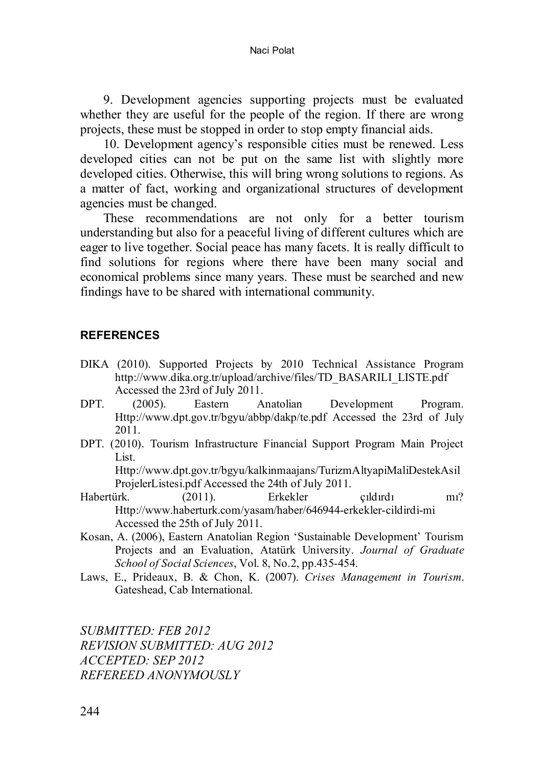Naci Polat

9. Development agencies supporting projects must be evaluated whether they are useful for the people of the region. If there are wrong projects, these must be stopped in order to stop empty financial aids.

10. Development agency's responsible cities must be renewed. Less developed cities can not be put on the same list with slightly more developed cities. Otherwise, this will bring wrong solutions to regions. As a matter of fact, working and organizational structures of development agencies must be changed.

These recommendations are not only for a better tourism understanding but also for a peaceful living of different cultures which are eager to live together. Social peace has many facets. It is really difficult to find solutions for regions where there have been many social and economical problems since many years. These must be searched and new findings have to be shared with international community.

#### **REFERENCES**

- DIKA (2010). Supported Projects by 2010 Technical Assistance Program http://www.dika.org.tr/upload/archive/files/TD\_BASARILI\_LISTE.pdf Accessed the 23rd of July 2011.<br>(2005). Eastern Anatolian
- DPT. (2005). Eastern Anatolian Development Program. Http://www.dpt.gov.tr/bgyu/abbp/dakp/te.pdf Accessed the 23rd of July 2011.
- DPT. (2010). Tourism Infrastructure Financial Support Program Main Project List.

Http://www.dpt.gov.tr/bgyu/kalkinmaajans/TurizmAltyapiMaliDestekAsil ProjelerListesi.pdf Accessed the 24th of July 2011.

- Habertürk. (2011). Erkekler çıldırdı mı? Http://www.haberturk.com/yasam/haber/646944-erkekler-cildirdi-mi Accessed the 25th of July 2011.
- Kosan, A. (2006), Eastern Anatolian Region 'Sustainable Development' Tourism Projects and an Evaluation, Atatürk University. *Journal of Graduate School of Social Sciences*, Vol. 8, No.2, pp.435-454.
- Laws, E., Prideaux, B. & Chon, K. (2007). *Crises Management in Tourism*. Gateshead, Cab International.

*SUBMITTED: FEB 2012 REVISION SUBMITTED: AUG 2012 ACCEPTED: SEP 2012 REFEREED ANONYMOUSLY*